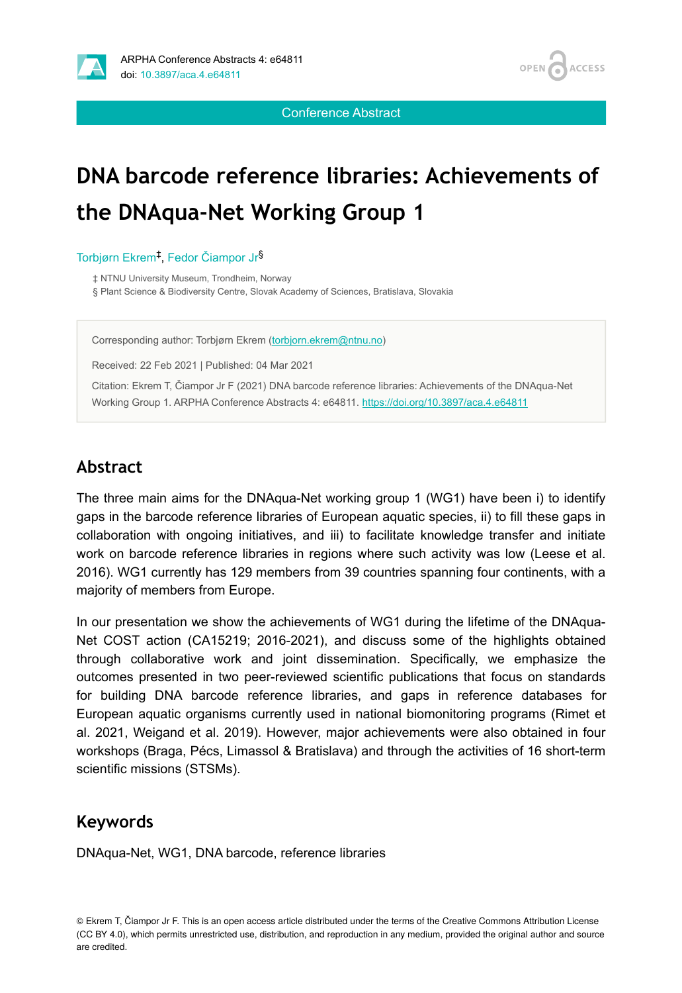

Conference Abstract

# **DNA barcode reference libraries: Achievements of the DNAqua-Net Working Group 1**

Torbjørn Ekrem<sup>‡</sup>, Fedor Čiampor Jr<sup>§</sup>

‡ NTNU University Museum, Trondheim, Norway § Plant Science & Biodiversity Centre, Slovak Academy of Sciences, Bratislava, Slovakia

Corresponding author: Torbjørn Ekrem ([torbjorn.ekrem@ntnu.no](mailto:torbjorn.ekrem@ntnu.no))

Received: 22 Feb 2021 | Published: 04 Mar 2021

Citation: Ekrem T, Čiampor Jr F (2021) DNA barcode reference libraries: Achievements of the DNAqua-Net Working Group 1. ARPHA Conference Abstracts 4: e64811.<https://doi.org/10.3897/aca.4.e64811>

#### **Abstract**

The three main aims for the DNAqua-Net working group 1 (WG1) have been i) to identify gaps in the barcode reference libraries of European aquatic species, ii) to fill these gaps in collaboration with ongoing initiatives, and iii) to facilitate knowledge transfer and initiate work on barcode reference libraries in regions where such activity was low (Leese et al. 2016). WG1 currently has 129 members from 39 countries spanning four continents, with a majority of members from Europe.

In our presentation we show the achievements of WG1 during the lifetime of the DNAqua-Net COST action (CA15219; 2016-2021), and discuss some of the highlights obtained through collaborative work and joint dissemination. Specifically, we emphasize the outcomes presented in two peer-reviewed scientific publications that focus on standards for building DNA barcode reference libraries, and gaps in reference databases for European aquatic organisms currently used in national biomonitoring programs (Rimet et al. 2021, Weigand et al. 2019). However, major achievements were also obtained in four workshops (Braga, Pécs, Limassol & Bratislava) and through the activities of 16 short-term scientific missions (STSMs).

#### **Keywords**

DNAqua-Net, WG1, DNA barcode, reference libraries

© Ekrem T, Čiampor Jr F. This is an open access article distributed under the terms of the Creative Commons Attribution License (CC BY 4.0), which permits unrestricted use, distribution, and reproduction in any medium, provided the original author and source are credited.